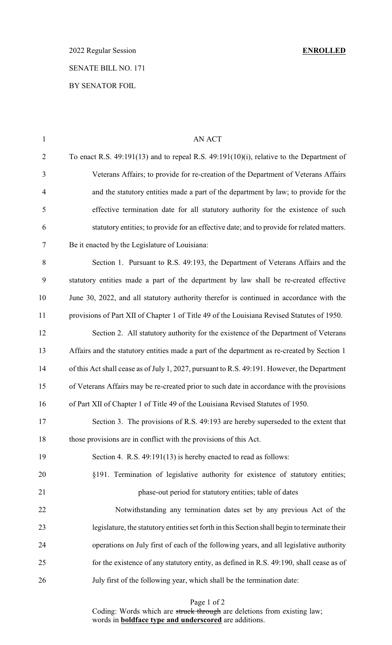2022 Regular Session **ENROLLED** SENATE BILL NO. 171

## BY SENATOR FOIL

| $\mathbf{1}$   | AN ACT                                                                                        |
|----------------|-----------------------------------------------------------------------------------------------|
| $\overline{2}$ | To enact R.S. $49:191(13)$ and to repeal R.S. $49:191(10)(i)$ , relative to the Department of |
| 3              | Veterans Affairs; to provide for re-creation of the Department of Veterans Affairs            |
| $\overline{4}$ | and the statutory entities made a part of the department by law; to provide for the           |
| 5              | effective termination date for all statutory authority for the existence of such              |
| 6              | statutory entities; to provide for an effective date; and to provide for related matters.     |
| $\tau$         | Be it enacted by the Legislature of Louisiana:                                                |
| 8              | Section 1. Pursuant to R.S. 49:193, the Department of Veterans Affairs and the                |
| 9              | statutory entities made a part of the department by law shall be re-created effective         |
| 10             | June 30, 2022, and all statutory authority therefor is continued in accordance with the       |
| 11             | provisions of Part XII of Chapter 1 of Title 49 of the Louisiana Revised Statutes of 1950.    |
| 12             | Section 2. All statutory authority for the existence of the Department of Veterans            |
| 13             | Affairs and the statutory entities made a part of the department as re-created by Section 1   |
| 14             | of this Act shall cease as of July 1, 2027, pursuant to R.S. 49:191. However, the Department  |
| 15             | of Veterans Affairs may be re-created prior to such date in accordance with the provisions    |
| 16             | of Part XII of Chapter 1 of Title 49 of the Louisiana Revised Statutes of 1950.               |
| 17             | Section 3. The provisions of R.S. 49:193 are hereby superseded to the extent that             |
| 18             | those provisions are in conflict with the provisions of this Act.                             |
| 19             | Section 4. R.S. 49:191(13) is hereby enacted to read as follows:                              |
| 20             | §191. Termination of legislative authority for existence of statutory entities;               |
| 21             | phase-out period for statutory entities; table of dates                                       |
| 22             | Notwithstanding any termination dates set by any previous Act of the                          |
| 23             | legislature, the statutory entities set forth in this Section shall begin to terminate their  |
| 24             | operations on July first of each of the following years, and all legislative authority        |
| 25             | for the existence of any statutory entity, as defined in R.S. 49:190, shall cease as of       |
| 26             | July first of the following year, which shall be the termination date:                        |
|                |                                                                                               |

Page 1 of 2

Coding: Words which are struck through are deletions from existing law; words in **boldface type and underscored** are additions.